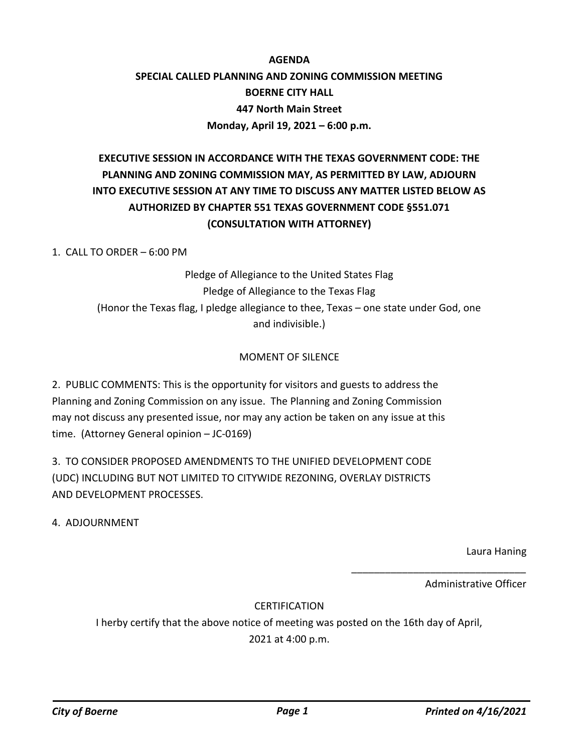### **AGENDA SPECIAL CALLED PLANNING AND ZONING COMMISSION MEETING BOERNE CITY HALL 447 North Main Street Monday, April 19, 2021 – 6:00 p.m.**

## **EXECUTIVE SESSION IN ACCORDANCE WITH THE TEXAS GOVERNMENT CODE: THE PLANNING AND ZONING COMMISSION MAY, AS PERMITTED BY LAW, ADJOURN INTO EXECUTIVE SESSION AT ANY TIME TO DISCUSS ANY MATTER LISTED BELOW AS AUTHORIZED BY CHAPTER 551 TEXAS GOVERNMENT CODE §551.071 (CONSULTATION WITH ATTORNEY)**

1. CALL TO ORDER – 6:00 PM

Pledge of Allegiance to the United States Flag Pledge of Allegiance to the Texas Flag (Honor the Texas flag, I pledge allegiance to thee, Texas – one state under God, one and indivisible.)

#### MOMENT OF SILENCE

2. PUBLIC COMMENTS: This is the opportunity for visitors and guests to address the Planning and Zoning Commission on any issue. The Planning and Zoning Commission may not discuss any presented issue, nor may any action be taken on any issue at this time. (Attorney General opinion – JC-0169)

3. TO CONSIDER PROPOSED AMENDMENTS TO THE UNIFIED DEVELOPMENT CODE (UDC) INCLUDING BUT NOT LIMITED TO CITYWIDE REZONING, OVERLAY DISTRICTS AND DEVELOPMENT PROCESSES.

4. ADJOURNMENT

Laura Haning

Administrative Officer

\_\_\_\_\_\_\_\_\_\_\_\_\_\_\_\_\_\_\_\_\_\_\_\_\_\_\_\_\_\_\_

### **CERTIFICATION**

I herby certify that the above notice of meeting was posted on the 16th day of April, 2021 at 4:00 p.m.